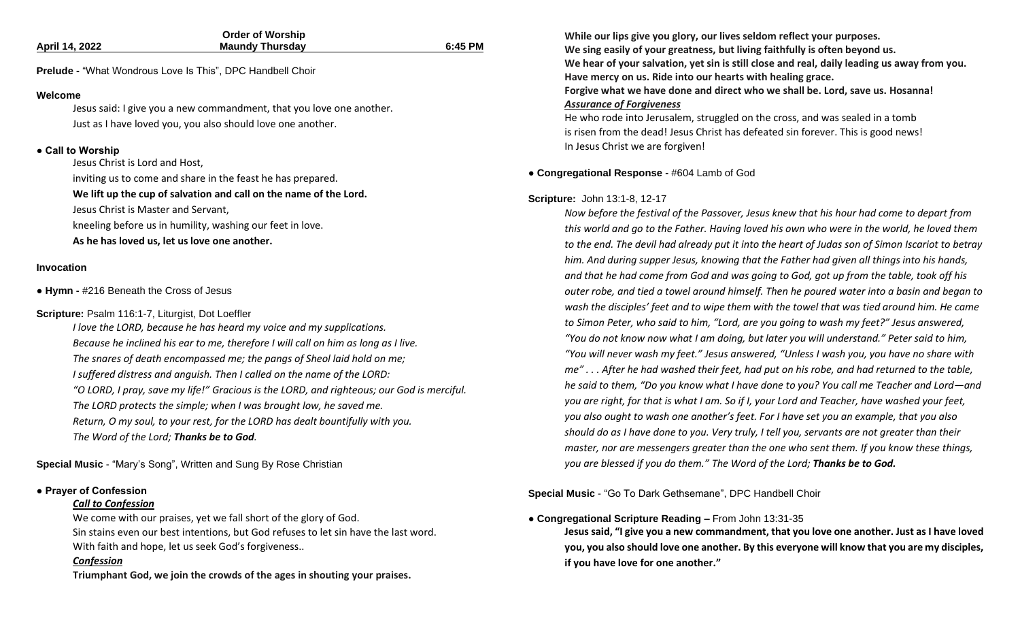|                                                                                           | <b>Order of Worship</b> |         | While our lips give                               |
|-------------------------------------------------------------------------------------------|-------------------------|---------|---------------------------------------------------|
| <b>April 14, 2022</b>                                                                     | <b>Maundy Thursday</b>  | 6:45 PM | We sing easily of yo                              |
| Prelude - "What Wondrous Love Is This", DPC Handbell Choir                                |                         |         | We hear of your sa                                |
|                                                                                           |                         |         | Have mercy on us.                                 |
| Welcome                                                                                   |                         |         | Forgive what we ha                                |
| Jesus said: I give you a new commandment, that you love one another.                      |                         |         | <b>Assurance of Forgiv</b><br>He who rode into Je |
| Just as I have loved you, you also should love one another.                               |                         |         | is risen from the de                              |
|                                                                                           |                         |         | In Jesus Christ we a                              |
| • Call to Worship                                                                         |                         |         |                                                   |
| Jesus Christ is Lord and Host,                                                            |                         |         | • Congregational Respons                          |
| inviting us to come and share in the feast he has prepared.                               |                         |         |                                                   |
| We lift up the cup of salvation and call on the name of the Lord.                         |                         |         | Scripture: John 13:1-8, 12                        |
| Jesus Christ is Master and Servant,                                                       |                         |         | Now before the fest                               |
| kneeling before us in humility, washing our feet in love.                                 |                         |         | this world and go to                              |
| As he has loved us, let us love one another.                                              |                         |         | to the end. The devi                              |
| Invocation                                                                                |                         |         | him. And during sup                               |
|                                                                                           |                         |         | and that he had cor                               |
| • Hymn - #216 Beneath the Cross of Jesus                                                  |                         |         | outer robe, and tied                              |
|                                                                                           |                         |         | wash the disciples'                               |
| Scripture: Psalm 116:1-7, Liturgist, Dot Loeffler                                         |                         |         | to Simon Peter, who                               |
| I love the LORD, because he has heard my voice and my supplications.                      |                         |         | "You do not know n                                |
| Because he inclined his ear to me, therefore I will call on him as long as I live.        |                         |         | "You will never was                               |
| The snares of death encompassed me; the pangs of Sheol laid hold on me;                   |                         |         | me" After he ha                                   |
| I suffered distress and anguish. Then I called on the name of the LORD:                   |                         |         | he said to them, "Do                              |
| "O LORD, I pray, save my life!" Gracious is the LORD, and righteous; our God is merciful. |                         |         |                                                   |
| The LORD protects the simple; when I was brought low, he saved me.                        |                         |         | you are right, for th                             |
| Return, O my soul, to your rest, for the LORD has dealt bountifully with you.             |                         |         | you also ought to w                               |
| The Word of the Lord; Thanks be to God.                                                   |                         |         | should do as I have                               |
|                                                                                           |                         |         |                                                   |

**Special Music** - "Mary's Song", Written and Sung By Rose Christian

#### **● Prayer of Confession**

#### *Call to Confession*

We come with our praises, yet we fall short of the glory of God. Sin stains even our best intentions, but God refuses to let sin have the last word. With faith and hope, let us seek God's forgiveness..

#### *Confession*

**Triumphant God, we join the crowds of the ages in shouting your praises.**

**While our lips give you glory, our lives seldom reflect your purposes.** 

**We sing teach sing in the sing faithfully is often beyond us.** 

**Ivation, yet sin is still close and real, daily leading us away from you.** 

**Ride into our hearts with healing grace. Forgive what we have done and direct who we shall be. Lord, save us. Hosanna!**

#### *Assurance of Forgiveness*

erusalem, struggled on the cross, and was sealed in a tomb ad! Jesus Christ has defeated sin forever. This is good news! re forgiven!

#### **se -** #604 Lamb of God

#### **Scripture:** John 13:1-8, 12-17

*Now before the festival of the Passover, Jesus knew that his hour had come to depart from the Father. Having loved his own who were in the world, he loved them to the end. The devil had already put it into the heart of Judas son of Simon Iscariot to betray him. And during supper Jesus, knowing that the Father had given all things into his hands, and that he had come from God and was going to God, got up from the table, took off his*  a towel around himself. Then he poured water into a basin and began to feet and to wipe them with the towel that was tied around him. He came *to Simon Peter, who said to him, "Lord, are you going to wash my feet?" Jesus answered,*  ow what I am doing, but later you will understand." Peter said to him, *"You will never wash my feet." Jesus answered, "Unless I wash you, you have no share with me" . . . After he had washed their feet, had put on his robe, and had returned to the table, he said to them, "Do you know what I have done to you? You call me Teacher and Lord—and you are right, for that is what I am. So if I, your Lord and Teacher, have washed your feet, you also ought to wash one another's feet. For I have set you an example, that you also done to you. Very truly, I tell you, servants are not greater than their master, nor are messengers greater than the one who sent them. If you know these things, you are blessed if you do them." The Word of the Lord; Thanks be to God.*

**Special Music** - "Go To Dark Gethsemane", DPC Handbell Choir

#### **● Congregational Scripture Reading –** From John 13:31-35

**Jesus said, "I give you a new commandment, that you love one another. Just as I have loved you, you also should love one another. By this everyone will know that you are my disciples, if you have love for one another."**